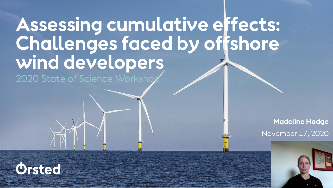# **Assessing cumulative effects: Challenges faced by offshore wind developers**

2020 State of Science Worksho

November 17, 2020 **Madeline Hodge** 



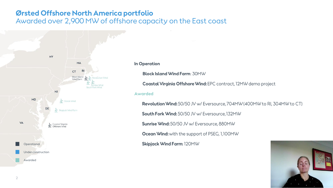### **Ørsted Offshore North America portfolio**

Awarded over 2,900 MW of offshore capacity on the East coast



#### **In Operation**

**Block Island Wind Farm**: 30MW

Coastal Virginia Offshore Wind: EPC contract, 12MW demo project

### **Awarded**

Revolution Wind: 50/50 JV w/ Eversource, 704MW (400MW to RI, 304MW to CT)

South Fork Wind: 50/50 JV w/ Eversource, 132MW

Sunrise Wind: 50/50 JV w/ Eversource, 880MW

Ocean Wind: with the support of PSEG, 1,100MW

Skipjack Wind Farm: 120MW

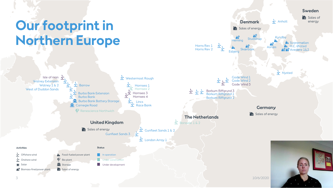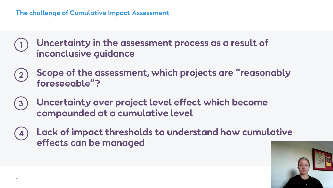### **The challenge of Cumulative Impact Assessment**

**Uncertainty in the assessment process as a result of inconclusive guidance** 

- **Scope of the assessment, which projects are "reasonably foreseeable"?**
- **Uncertainty over project level effect which become**   $\overline{3}$ **compounded at a cumulative level**
- **Lack of impact thresholds to understand how cumulative**  4 **effects can be managed**

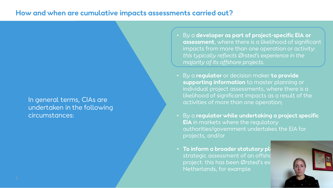### **How and when are cumulative impacts assessments carried out?**

In general terms, CIAs are undertaken in the following circumstances:

- By a **developer as part of project-specific EIA or assessment**, where there is a likelihood of significant impacts from more than one operation or activity: *this typically reflects Ørsted's experience in the majority of its offshore projects.*
- By a **regulator** or decision maker **to provide supporting information** to master planning or individual project assessments, where there is a likelihood of significant impacts as a result of the activities of more than one operation;
- By a **regulator while undertaking a project specific EIA** in markets where the regulatory authorities/government undertakes the EIA for projects, and/or
- To inform a broader statutory ple strategic assessment of an offsho project: this has been Ørsted's ex Netherlands, for example

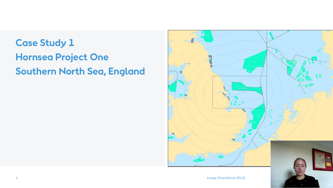## **Case Study 1 Hornsea Project One Southern North Sea, England**

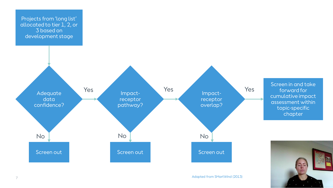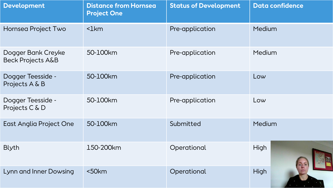| <b>Development</b>                                 | <b>Distance from Hornsea</b><br><b>Project One</b> | <b>Status of Development</b> | <b>Data confidence</b> |  |  |
|----------------------------------------------------|----------------------------------------------------|------------------------------|------------------------|--|--|
| Hornsea Project Two                                | $\mathsf{Ikm}$                                     | Pre-application              | Medium                 |  |  |
| Dogger Bank Creyke<br><b>Beck Projects A&amp;B</b> | 50-100km                                           | Pre-application              | Medium                 |  |  |
| Dogger Teesside -<br>Projects A & B                | 50-100km                                           | Pre-application              | Low                    |  |  |
| Dogger Teesside -<br>Projects C & D                | 50-100km                                           | Pre-application              | Low                    |  |  |
| East Anglia Project One                            | 50-100km                                           | Submitted                    | Medium                 |  |  |
| <b>Blyth</b>                                       | 150-200km                                          | Operational                  | High                   |  |  |
| Lynn and Inner Dowsing                             | $50km$                                             | Operational                  | <b>High</b>            |  |  |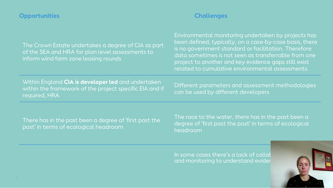### **Opportunities Challenges**

| The Crown Estate undertakes a degree of CIA as part<br>of the SEA and HRA for plan level assessments to<br>inform wind farm zone leasing rounds | Environmental monitoring undertaken by projects has<br>been defined, typically, on a case-by-case basis, there<br>is no government standard or facilitation. Therefore<br>data sometimes is not seen as transferrable from one<br>project to another and key evidence gaps still exist<br>related to cumulative environmental assessments. |
|-------------------------------------------------------------------------------------------------------------------------------------------------|--------------------------------------------------------------------------------------------------------------------------------------------------------------------------------------------------------------------------------------------------------------------------------------------------------------------------------------------|
| Within England CIA is developer led and undertaken<br>within the framework of the project specific EIA and if<br>required, HRA                  | Different parameters and assessment methodologies<br>can be used by different developers                                                                                                                                                                                                                                                   |
|                                                                                                                                                 |                                                                                                                                                                                                                                                                                                                                            |

There has in the past been a degree of 'first past the post' in terms of ecological headroom

The race to the water, there has in the past been a degree of 'first past the post' in terms of ecological headroom

In some cases there's a lack of collab and monitoring to understand evider

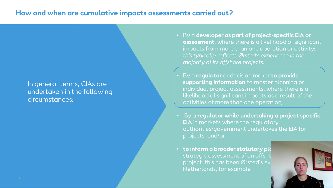### **How and when are cumulative impacts assessments carried out?**

### In general terms, CIAs are undertaken in the following circumstances:

- By a **developer as part of project-specific EIA or assessment**, where there is a likelihood of significant impacts from more than one operation or activity: *this typically reflects Ørsted's experience in the majority of its offshore projects.*
- By a **regulator** or decision maker **to provide supporting information** to master planning or individual project assessments, where there is a likelihood of significant impacts as a result of the activities of more than one operation;
- By a **regulator while undertaking a project specific EIA** in markets where the regulatory authorities/government undertakes the EIA for projects, and/or
- $\cdot$  to inform a broader statutory pla strategic assessment of an offsho project: this has been Ørsted's ex Netherlands, for example

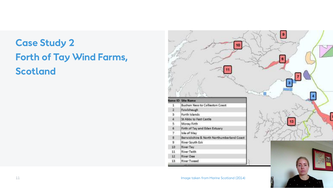## **Case Study 2 Forth of Tay Wind Farms, Scotland**

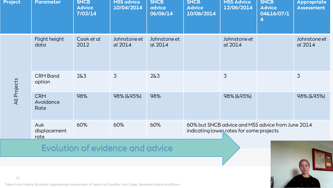| <b>Project</b> | Parameter                       | <b>SNCB</b><br><b>Advice</b><br>7/03/14 | <b>MSS advice</b><br>10/04/2014 | <b>SNCB</b><br>advice<br>06/06/14 | <b>SNCB</b><br><b>Advice</b><br>10/06/2014                                                    | <b>MSS Advice</b><br>12/06/2014 | <b>SNCB</b><br><b>Advice</b><br>04&16/07/1<br>4 | <b>Appropriate</b><br><b>Assessment</b> |
|----------------|---------------------------------|-----------------------------------------|---------------------------------|-----------------------------------|-----------------------------------------------------------------------------------------------|---------------------------------|-------------------------------------------------|-----------------------------------------|
| All Projects   | Flight height<br>data           | Cook et al<br>2012                      | Johnstone et<br>al 2014         | Johnstone et<br>al 2014           |                                                                                               | Johnstone et<br>al 2014         |                                                 | Johnstone et<br>al 2014                 |
|                | <b>CRM Band</b><br>option       | 2&3                                     | $\overline{3}$                  | 2&5                               |                                                                                               | $\overline{3}$                  |                                                 | $\overline{3}$                          |
|                | <b>CRM</b><br>Avoidance<br>Rate | 98%                                     | 98% (& 95%)                     | 98%                               |                                                                                               | 98% (& 95%)                     |                                                 | 98% (& 95%)                             |
|                | Auk<br>displacement<br>rate     | 60%                                     | 60%                             | 60%                               | 60% but SNCB advice and MSS advice from June 2014<br>indicating lower rates for some projects |                                 |                                                 |                                         |

### Evolution of evidence and advice



12

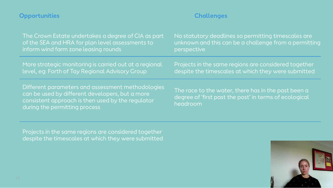### The Crown Estate undertakes a degree of CIA as part of the SEA and HRA for plan level assessments to inform wind farm zone leasing rounds No statutory deadlines so permitting timescales are unknown and this can be a challenge from a permitting perspective More strategic monitoring is carried out at a regional level, eg: Forth of Tay Regional Advisory Group Projects in the same regions are considered together despite the timescales at which they were submitted Different parameters and assessment methodologies can be used by different developers, but a more consistent approach is then used by the regulator during the permitting process The race to the water, there has in the past been a degree of 'first past the post' in terms of ecological headroom **Opportunities Challenges**

Projects in the same regions are considered together despite the timescales at which they were submitted

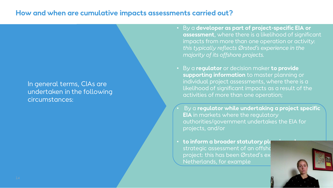### **How and when are cumulative impacts assessments carried out?**

### In general terms, CIAs are undertaken in the following circumstances:

- By a **developer as part of project-specific EIA or assessment**, where there is a likelihood of significant impacts from more than one operation or activity: *this typically reflects Ørsted's experience in the majority of its offshore projects.*
- By a **regulator** or decision maker **to provide supporting information** to master planning or individual project assessments, where there is a likelihood of significant impacts as a result of the activities of more than one operation;
- By a **regulator while undertaking a project specific EIA** in markets where the regulatory authorities/government undertakes the EIA for projects, and/or
- **to inform a broader statutory planning** strategic assessment of an offsho project: this has been Ørsted's ex Netherlands, for example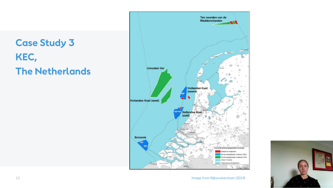## **Case Study 3 KEC, The Netherlands**



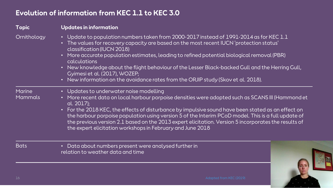### **Evolution of information from KEC 1.1 to KEC 3.0**

| <b>Topic</b>                    | <b>Updates in information</b>                                                                                                                                                                                                                                                                                                                                                                                                                                                                                                                                 |
|---------------------------------|---------------------------------------------------------------------------------------------------------------------------------------------------------------------------------------------------------------------------------------------------------------------------------------------------------------------------------------------------------------------------------------------------------------------------------------------------------------------------------------------------------------------------------------------------------------|
| Ornithology                     | • Update to population numbers taken from 2000-2017 instead of $1991$ -2014 as for KEC 1.1<br>• The values for recovery capacity are based on the most recent IUCN 'protection status'<br>classification (IUCN 2018)<br>• More accurate population estimates, leading to refined potential biological removal (PBR)<br>calculations<br>• New knowledge about the flight behaviour of the Lesser Black-backed Gull and the Herring Gull,<br>Gyimesi et al. (2017), WOZEP;<br>• New information on the avoidance rates from the ORJIP study (Skov et al. 2018). |
| <b>Marine</b><br><b>Mammals</b> | • Updates to underwater noise modelling<br>• More recent data on local harbour porpoise densities were adopted such as SCANS III (Hammond et<br>al. 2017);<br>• For the 2018 KEC, the effects of disturbance by impulsive sound have been stated as an effect on<br>the harbour porpoise population using version 5 of the Interim PCoD model. This is a full update of<br>the previous version 2.1 based on the 2013 expert elicitation. Version 5 incorporates the results of<br>the expert elicitation workshops in February and June 2018                 |
| <b>Bats</b>                     | Data about numbers present were analysed further in<br>$\bullet$<br>relation to weather data and time                                                                                                                                                                                                                                                                                                                                                                                                                                                         |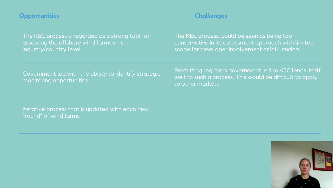### **Opportunities Challenges**

The KEC process is regarded as a strong tool for assessing the offshore wind farms on an industry/country level.

The KEC process, could be seen as being too conservative in its assessment approach with limited scope for developer involvement or influencing.

Government led with the ability to identify strategic monitoring opportunities

Permitting regime is government led so KEC lends itself well to such a process. This would be difficult to apply to other markets

Iterative process that is updated with each new "round" of wind farms

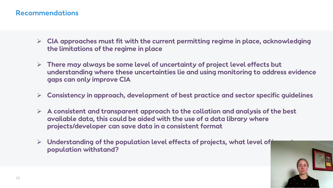### **Recommendations**

- ➢ **CIA approaches must fit with the current permitting regime in place, acknowledging the limitations of the regime in place**
- ➢ **There may always be some level of uncertainty of project level effects but understanding where these uncertainties lie and using monitoring to address evidence gaps can only improve CIA**
- ➢ **Consistency in approach, development of best practice and sector specific guidelines**
- ➢ **A consistent and transparent approach to the collation and analysis of the best available data, this could be aided with the use of a data library where projects/developer can save data in a consistent format**
- ➢ **Understanding of the population level effects of projects, what level of impact can a population withstand?**

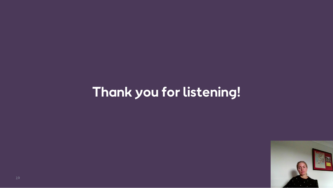## **Thank you for listening!**